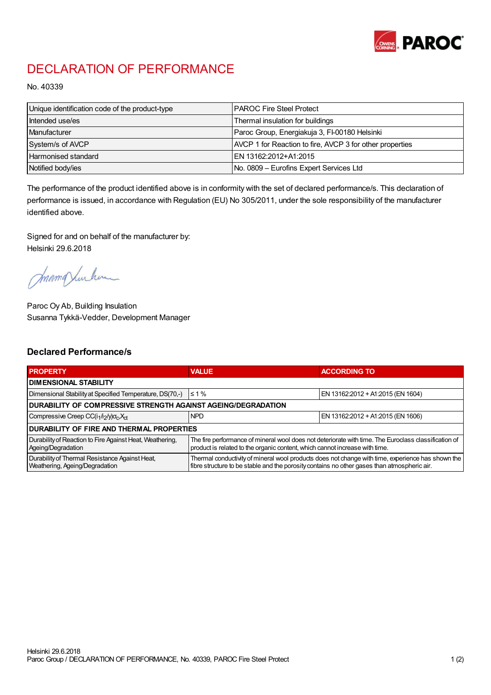

## DECLARATION OF PERFORMANCE

No. 40339

| Unique identification code of the product-type | I PAROC Fire Steel Protect                               |
|------------------------------------------------|----------------------------------------------------------|
| Intended use/es                                | Thermal insulation for buildings                         |
| Manufacturer                                   | Paroc Group, Energiakuja 3, FI-00180 Helsinki            |
| System/s of AVCP                               | AVCP 1 for Reaction to fire, AVCP 3 for other properties |
| <b>Harmonised standard</b>                     | EN 13162:2012+A1:2015                                    |
| Notified body/ies                              | No. 0809 – Eurofins Expert Services Ltd                  |

The performance of the product identified above is in conformity with the set of declared performance/s. This declaration of performance is issued, in accordance with Regulation (EU) No 305/2011, under the sole responsibility of the manufacturer identified above.

Signed for and on behalf of the manufacturer by: Helsinki 29.6.2018

mamqlushum

Paroc Oy Ab, Building Insulation Susanna Tykkä-Vedder, Development Manager

## Declared Performance/s

| <b>PROPERTY</b>                                                                  | <b>VALUE</b>                                                                                                                                                                                     | <b>ACCORDING TO</b>               |  |  |
|----------------------------------------------------------------------------------|--------------------------------------------------------------------------------------------------------------------------------------------------------------------------------------------------|-----------------------------------|--|--|
| <b>I DIMENSIONAL STABILITY</b>                                                   |                                                                                                                                                                                                  |                                   |  |  |
| Dimensional Stability at Specified Temperature, DS(70,-)                         | $\leq 1\%$                                                                                                                                                                                       | EN 13162:2012 + A1:2015 (EN 1604) |  |  |
| DURABILITY OF COMPRESSIVE STRENGTH AGAINST AGEING/DEGRADATION                    |                                                                                                                                                                                                  |                                   |  |  |
| Compressive Creep CC(i <sub>1</sub> /i <sub>2</sub> /y) $\sigma_c X_{ct}$        | <b>NPD</b>                                                                                                                                                                                       | EN 13162:2012 + A1:2015 (EN 1606) |  |  |
| I DURABILITY OF FIRE AND THERMAL PROPERTIES                                      |                                                                                                                                                                                                  |                                   |  |  |
| Durability of Reaction to Fire Against Heat, Weathering,<br>Ageing/Degradation   | The fire performance of mineral wool does not deteriorate with time. The Euroclass classification of<br>product is related to the organic content, which cannot increase with time.              |                                   |  |  |
| Durability of Thermal Resistance Against Heat,<br>Weathering, Ageing/Degradation | Thermal conductivity of mineral wool products does not change with time, experience has shown the<br>fibre structure to be stable and the porosity contains no other gases than atmospheric air. |                                   |  |  |